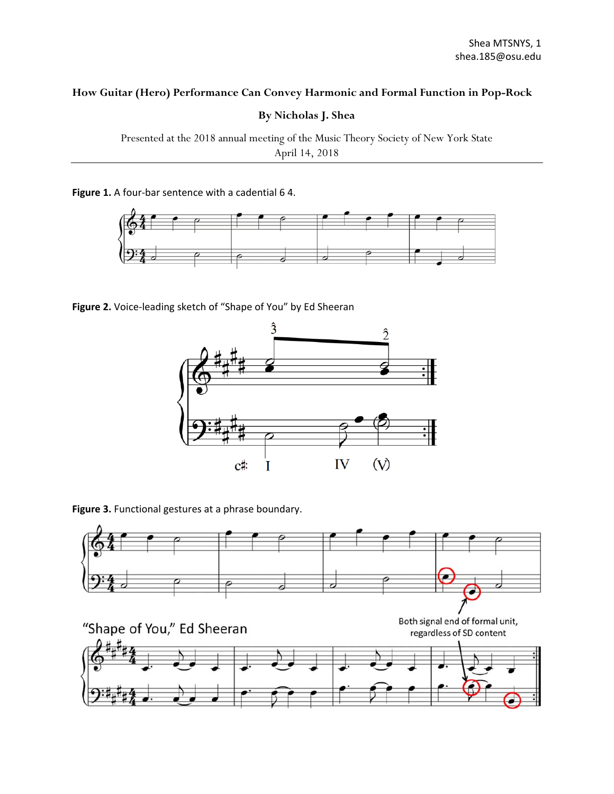## **How Guitar (Hero) Performance Can Convey Harmonic and Formal Function in Pop-Rock**

**By Nicholas J. Shea** 

Presented at the 2018 annual meeting of the Music Theory Society of New York State April 14, 2018

Figure 1. A four-bar sentence with a cadential 6 4.



Figure 2. Voice-leading sketch of "Shape of You" by Ed Sheeran



**Figure 3.** Functional gestures at a phrase boundary.

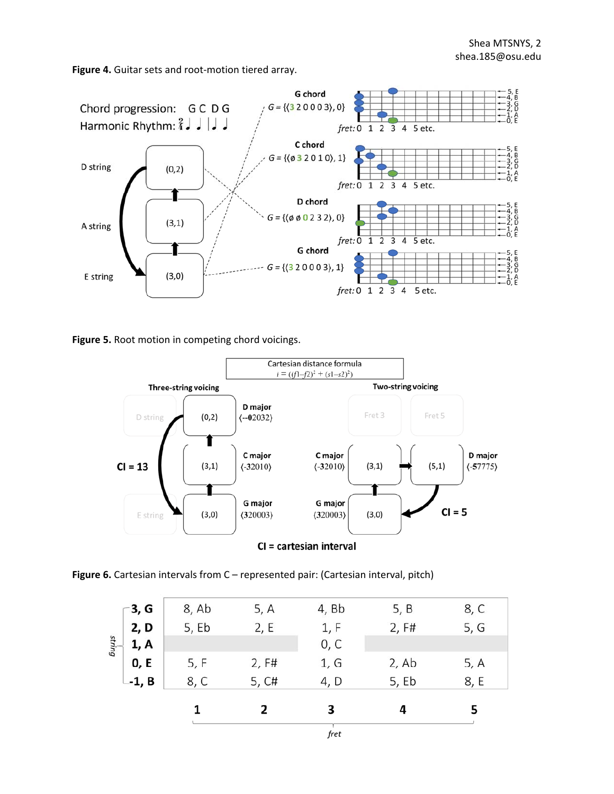Figure 4. Guitar sets and root-motion tiered array.



**Figure 5.** Root motion in competing chord voicings.



**Figure 6.** Cartesian intervals from C – represented pair: (Cartesian interval, pitch)

|        |        |       |       | fret  |       |      |
|--------|--------|-------|-------|-------|-------|------|
|        |        | 1     | 2     | 3     | 4     | 5    |
|        | --1, B | 8, C  | 5, C# | 4, D  | 5, Eb | 8, E |
|        | 0, E   | 5, F  | 2, F# | 1, G  | 2, Ab | 5, A |
| string | 1, A   |       |       | 0, C  |       |      |
|        | 2, D   | 5, Eb | 2, E  | 1, F  | 2, F# | 5, G |
|        | -3, G  | 8, Ab | 5, A  | 4, Bb | 5, B  | 8, C |
|        |        |       |       |       |       |      |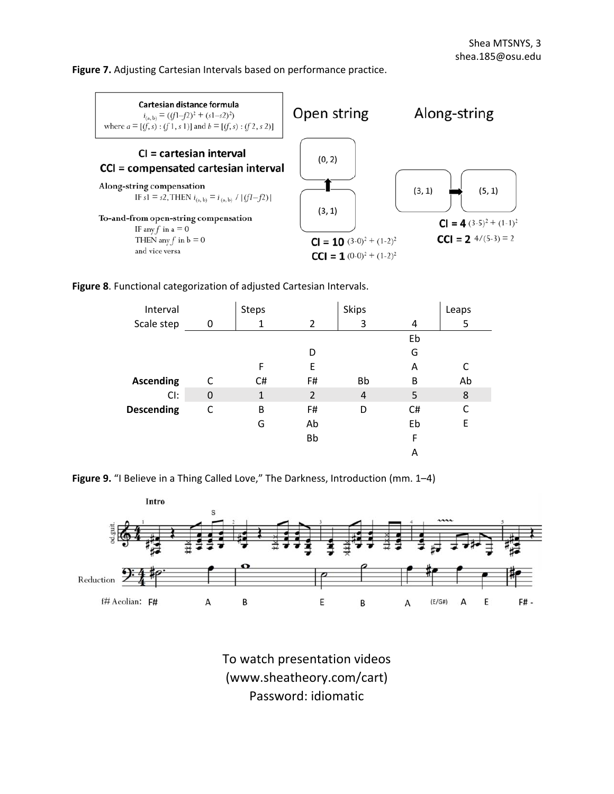**Figure 7.** Adjusting Cartesian Intervals based on performance practice.



**Figure 8**. Functional categorization of adjusted Cartesian Intervals.

| Interval          |             | Steps        |                | <b>Skips</b>   |    | Leaps |
|-------------------|-------------|--------------|----------------|----------------|----|-------|
| Scale step        | 0           |              | 2              | 3              | 4  | 5     |
|                   |             |              |                |                | Eb |       |
|                   |             |              | D              |                | G  |       |
|                   |             | F            | E              |                | A  |       |
| <b>Ascending</b>  | C           | C#           | F#             | <b>Bb</b>      | B  | Ab    |
| Cl:               | $\mathbf 0$ | $\mathbf{1}$ | $\overline{2}$ | $\overline{4}$ | 5  | 8     |
| <b>Descending</b> | C           | B            | F#             | D              | C# | C     |
|                   |             | G            | Ab             |                | Eb | E     |
|                   |             |              | <b>Bb</b>      |                | F  |       |
|                   |             |              |                |                | Α  |       |





To watch presentation videos (www.sheatheory.com/cart) Password: idiomatic